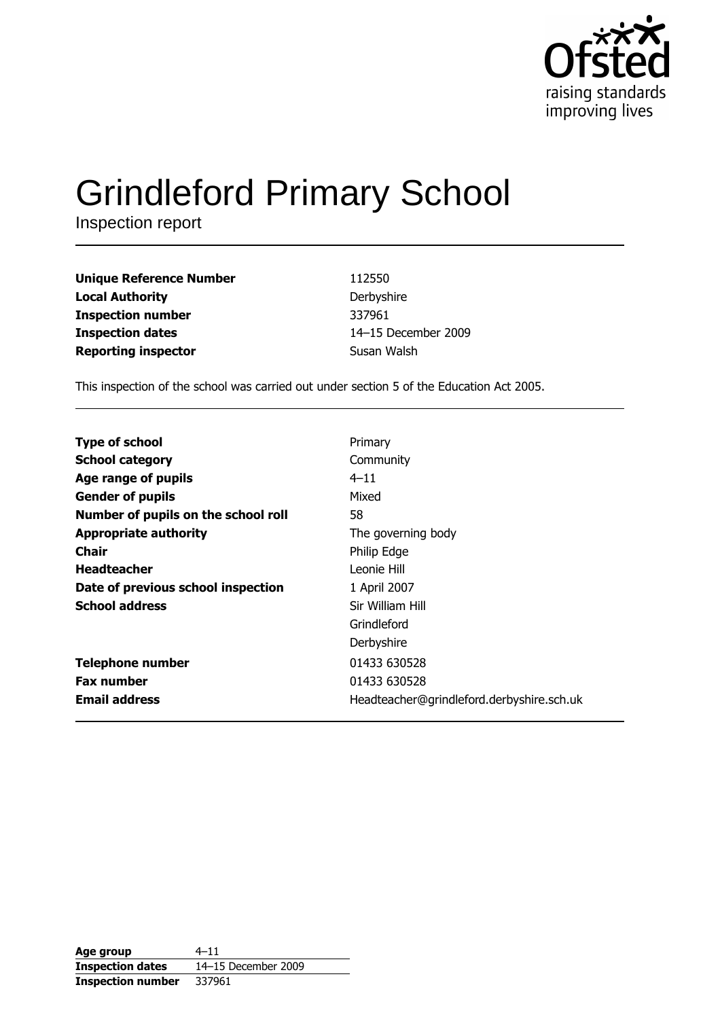

# **Grindleford Primary School**

Inspection report

| Unique Reference Number | 112550              |
|-------------------------|---------------------|
| Local Authority         | Derbyshire          |
| Inspection number       | 337961              |
| <b>Inspection dates</b> | 14-15 December 2009 |
| Reporting inspector     | Susan Walsh         |
|                         |                     |

This inspection of the school was carried out under section 5 of the Education Act 2005.

| Primary                                   |
|-------------------------------------------|
| Community                                 |
| $4 - 11$                                  |
| Mixed                                     |
| 58                                        |
| The governing body                        |
| Philip Edge                               |
| Leonie Hill                               |
| 1 April 2007                              |
| Sir William Hill                          |
| Grindleford                               |
| Derbyshire                                |
| 01433 630528                              |
| 01433 630528                              |
| Headteacher@grindleford.derbyshire.sch.uk |
|                                           |

| Age group                | 4–11                |
|--------------------------|---------------------|
| <b>Inspection dates</b>  | 14-15 December 2009 |
| <b>Inspection number</b> | 337961              |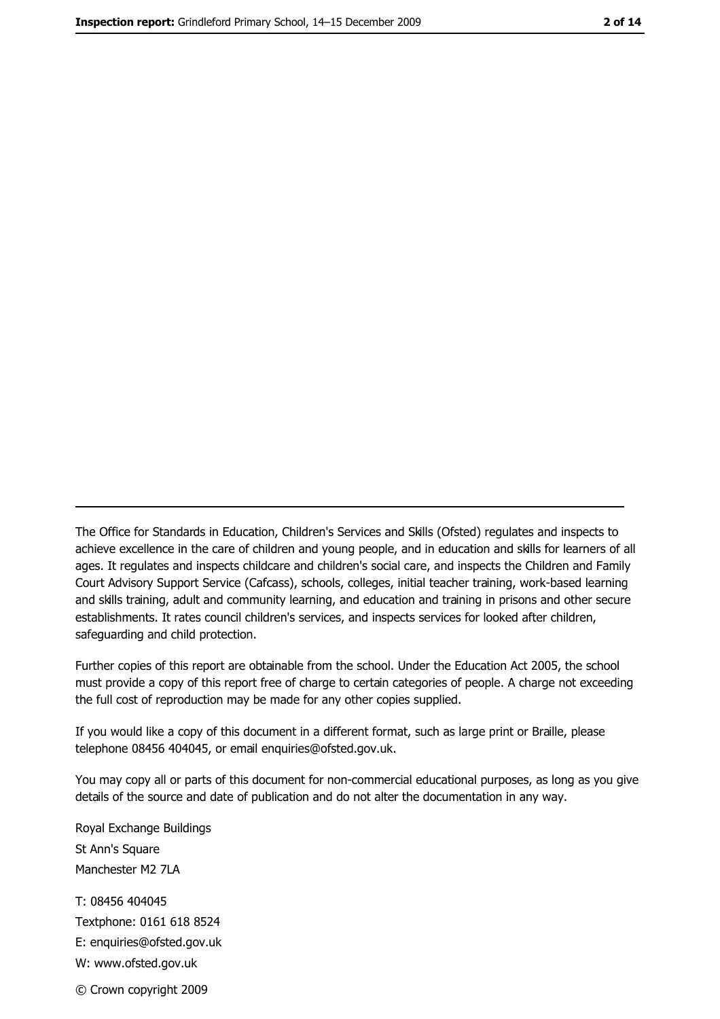The Office for Standards in Education, Children's Services and Skills (Ofsted) regulates and inspects to achieve excellence in the care of children and young people, and in education and skills for learners of all ages. It regulates and inspects childcare and children's social care, and inspects the Children and Family Court Advisory Support Service (Cafcass), schools, colleges, initial teacher training, work-based learning and skills training, adult and community learning, and education and training in prisons and other secure establishments. It rates council children's services, and inspects services for looked after children, safequarding and child protection.

Further copies of this report are obtainable from the school. Under the Education Act 2005, the school must provide a copy of this report free of charge to certain categories of people. A charge not exceeding the full cost of reproduction may be made for any other copies supplied.

If you would like a copy of this document in a different format, such as large print or Braille, please telephone 08456 404045, or email enquiries@ofsted.gov.uk.

You may copy all or parts of this document for non-commercial educational purposes, as long as you give details of the source and date of publication and do not alter the documentation in any way.

Royal Exchange Buildings St Ann's Square Manchester M2 7LA T: 08456 404045 Textphone: 0161 618 8524 E: enquiries@ofsted.gov.uk W: www.ofsted.gov.uk © Crown copyright 2009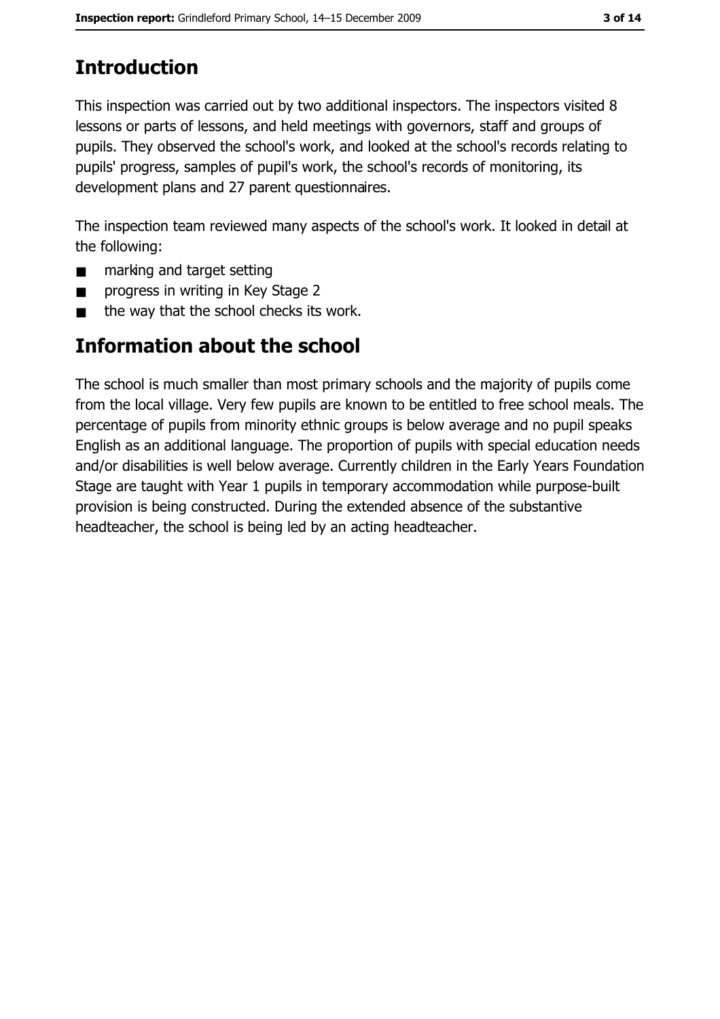# **Introduction**

This inspection was carried out by two additional inspectors. The inspectors visited 8 lessons or parts of lessons, and held meetings with governors, staff and groups of pupils. They observed the school's work, and looked at the school's records relating to pupils' progress, samples of pupil's work, the school's records of monitoring, its development plans and 27 parent questionnaires.

The inspection team reviewed many aspects of the school's work. It looked in detail at the following:

- marking and target setting  $\blacksquare$
- progress in writing in Key Stage 2  $\blacksquare$
- the way that the school checks its work.  $\blacksquare$

# **Information about the school**

The school is much smaller than most primary schools and the majority of pupils come from the local village. Very few pupils are known to be entitled to free school meals. The percentage of pupils from minority ethnic groups is below average and no pupil speaks English as an additional language. The proportion of pupils with special education needs and/or disabilities is well below average. Currently children in the Early Years Foundation Stage are taught with Year 1 pupils in temporary accommodation while purpose-built provision is being constructed. During the extended absence of the substantive headteacher, the school is being led by an acting headteacher.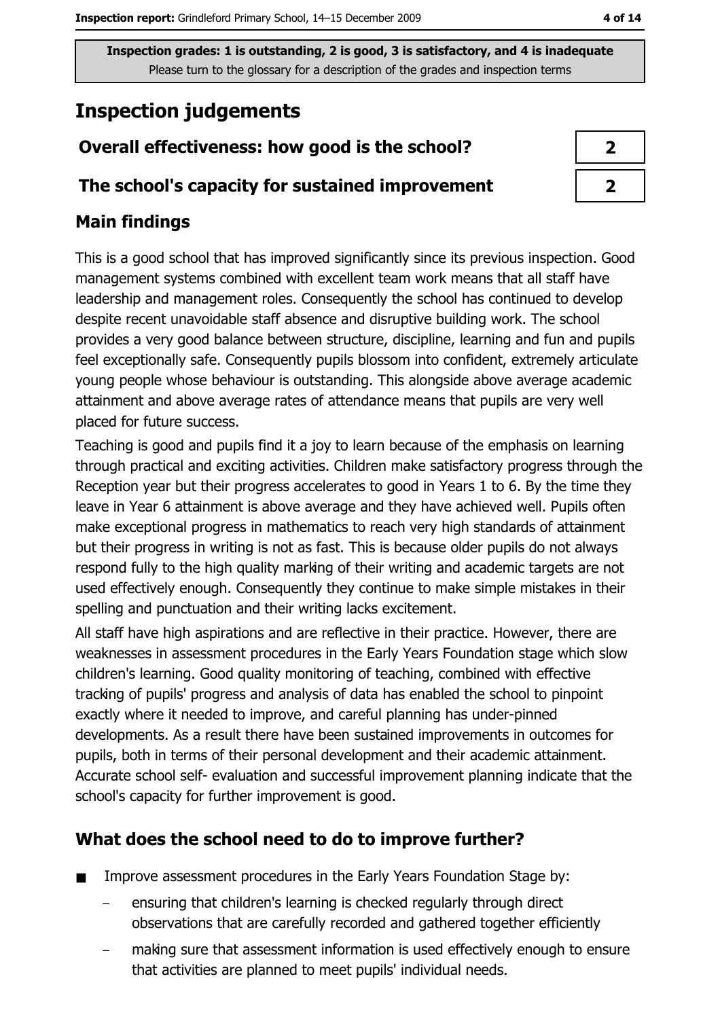# **Inspection judgements**

## Overall effectiveness: how good is the school?

#### The school's capacity for sustained improvement

## **Main findings**

This is a good school that has improved significantly since its previous inspection. Good management systems combined with excellent team work means that all staff have leadership and management roles. Consequently the school has continued to develop despite recent unavoidable staff absence and disruptive building work. The school provides a very good balance between structure, discipline, learning and fun and pupils feel exceptionally safe. Consequently pupils blossom into confident, extremely articulate young people whose behaviour is outstanding. This alongside above average academic attainment and above average rates of attendance means that pupils are very well placed for future success.

Teaching is good and pupils find it a joy to learn because of the emphasis on learning through practical and exciting activities. Children make satisfactory progress through the Reception year but their progress accelerates to good in Years 1 to 6. By the time they leave in Year 6 attainment is above average and they have achieved well. Pupils often make exceptional progress in mathematics to reach very high standards of attainment but their progress in writing is not as fast. This is because older pupils do not always respond fully to the high quality marking of their writing and academic targets are not used effectively enough. Consequently they continue to make simple mistakes in their spelling and punctuation and their writing lacks excitement.

All staff have high aspirations and are reflective in their practice. However, there are weaknesses in assessment procedures in the Early Years Foundation stage which slow children's learning. Good quality monitoring of teaching, combined with effective tracking of pupils' progress and analysis of data has enabled the school to pinpoint exactly where it needed to improve, and careful planning has under-pinned developments. As a result there have been sustained improvements in outcomes for pupils, both in terms of their personal development and their academic attainment. Accurate school self- evaluation and successful improvement planning indicate that the school's capacity for further improvement is good.

## What does the school need to do to improve further?

- Improve assessment procedures in the Early Years Foundation Stage by:  $\blacksquare$ 
	- ensuring that children's learning is checked regularly through direct observations that are carefully recorded and gathered together efficiently
	- making sure that assessment information is used effectively enough to ensure that activities are planned to meet pupils' individual needs.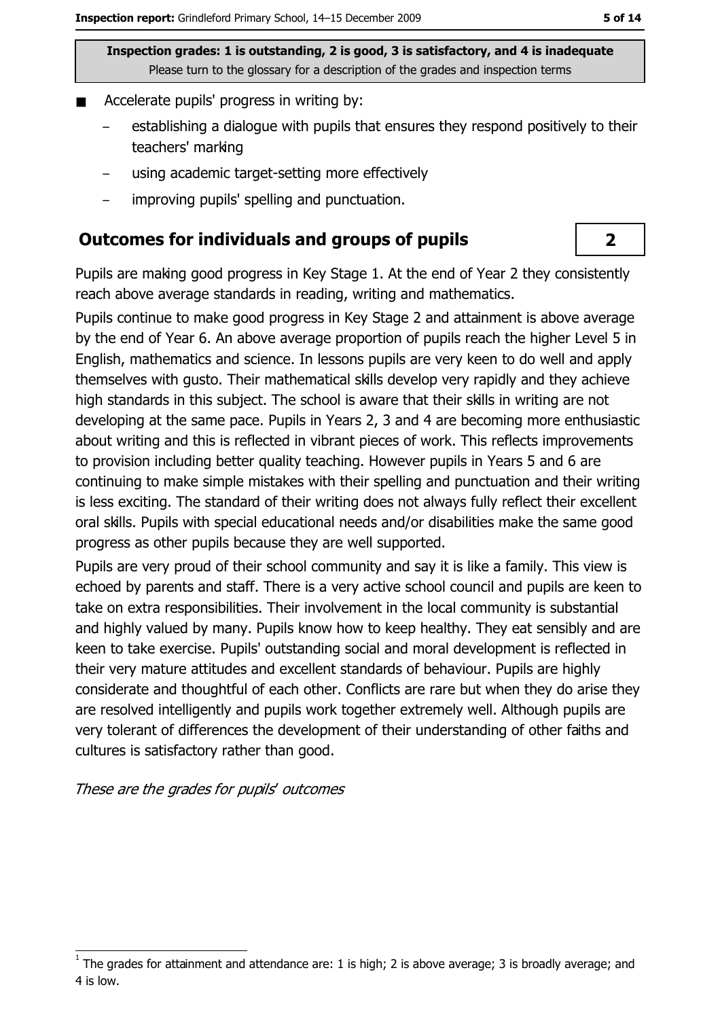- Accelerate pupils' progress in writing by:  $\blacksquare$ 
	- establishing a dialogue with pupils that ensures they respond positively to their teachers' marking
	- using academic target-setting more effectively
	- improving pupils' spelling and punctuation.

#### **Outcomes for individuals and groups of pupils**

Pupils are making good progress in Key Stage 1, At the end of Year 2 they consistently reach above average standards in reading, writing and mathematics.

Pupils continue to make good progress in Key Stage 2 and attainment is above average by the end of Year 6. An above average proportion of pupils reach the higher Level 5 in English, mathematics and science. In lessons pupils are very keen to do well and apply themselves with qusto. Their mathematical skills develop very rapidly and they achieve high standards in this subject. The school is aware that their skills in writing are not developing at the same pace. Pupils in Years 2, 3 and 4 are becoming more enthusiastic about writing and this is reflected in vibrant pieces of work. This reflects improvements to provision including better quality teaching. However pupils in Years 5 and 6 are continuing to make simple mistakes with their spelling and punctuation and their writing is less exciting. The standard of their writing does not always fully reflect their excellent oral skills. Pupils with special educational needs and/or disabilities make the same good progress as other pupils because they are well supported.

Pupils are very proud of their school community and say it is like a family. This view is echoed by parents and staff. There is a very active school council and pupils are keen to take on extra responsibilities. Their involvement in the local community is substantial and highly valued by many. Pupils know how to keep healthy. They eat sensibly and are keen to take exercise. Pupils' outstanding social and moral development is reflected in their very mature attitudes and excellent standards of behaviour. Pupils are highly considerate and thoughtful of each other. Conflicts are rare but when they do arise they are resolved intelligently and pupils work together extremely well. Although pupils are very tolerant of differences the development of their understanding of other faiths and cultures is satisfactory rather than good.

These are the grades for pupils' outcomes

## $\overline{2}$

The grades for attainment and attendance are: 1 is high; 2 is above average; 3 is broadly average; and 4 is low.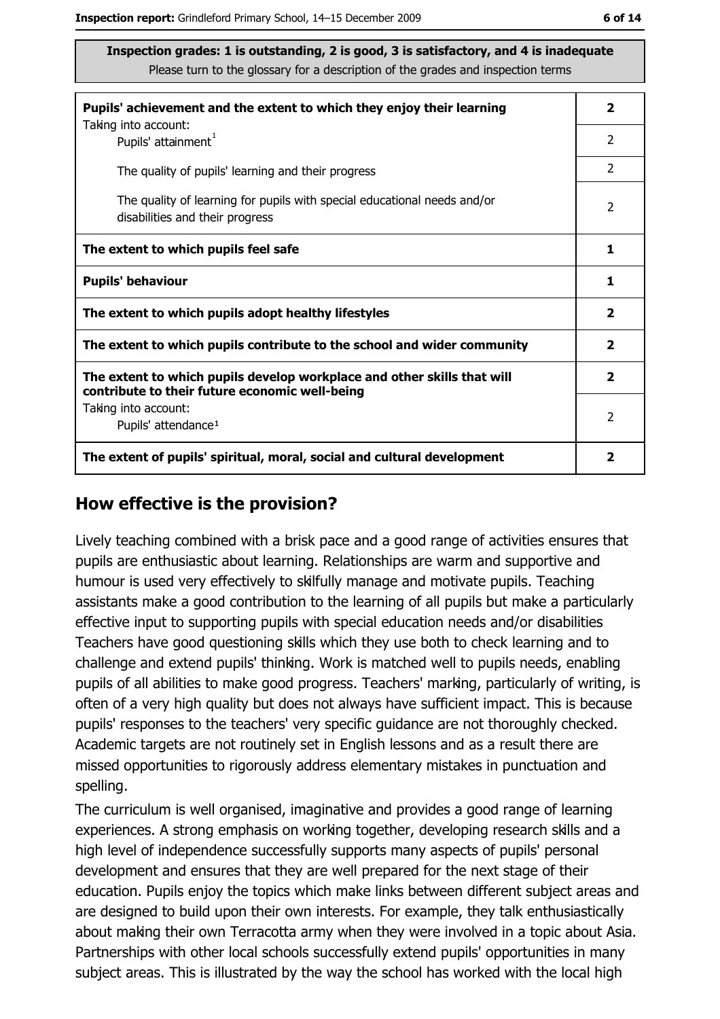| Pupils' achievement and the extent to which they enjoy their learning                                                     |                         |
|---------------------------------------------------------------------------------------------------------------------------|-------------------------|
| Taking into account:<br>Pupils' attainment <sup>1</sup>                                                                   | 2                       |
| The quality of pupils' learning and their progress                                                                        | $\mathcal{P}$           |
| The quality of learning for pupils with special educational needs and/or<br>disabilities and their progress               |                         |
| The extent to which pupils feel safe                                                                                      |                         |
| <b>Pupils' behaviour</b>                                                                                                  |                         |
| The extent to which pupils adopt healthy lifestyles                                                                       | $\overline{\mathbf{2}}$ |
| The extent to which pupils contribute to the school and wider community                                                   |                         |
| The extent to which pupils develop workplace and other skills that will<br>contribute to their future economic well-being | $\overline{\mathbf{2}}$ |
| Taking into account:                                                                                                      | $\mathcal{P}$           |
| Pupils' attendance <sup>1</sup>                                                                                           |                         |
| The extent of pupils' spiritual, moral, social and cultural development                                                   | 2                       |

#### How effective is the provision?

Lively teaching combined with a brisk pace and a good range of activities ensures that pupils are enthusiastic about learning. Relationships are warm and supportive and humour is used very effectively to skilfully manage and motivate pupils. Teaching assistants make a good contribution to the learning of all pupils but make a particularly effective input to supporting pupils with special education needs and/or disabilities Teachers have good guestioning skills which they use both to check learning and to challenge and extend pupils' thinking. Work is matched well to pupils needs, enabling pupils of all abilities to make good progress. Teachers' marking, particularly of writing, is often of a very high quality but does not always have sufficient impact. This is because pupils' responses to the teachers' very specific quidance are not thoroughly checked. Academic targets are not routinely set in English lessons and as a result there are missed opportunities to rigorously address elementary mistakes in punctuation and spelling.

The curriculum is well organised, imaginative and provides a good range of learning experiences. A strong emphasis on working together, developing research skills and a high level of independence successfully supports many aspects of pupils' personal development and ensures that they are well prepared for the next stage of their education. Pupils enjoy the topics which make links between different subject areas and are designed to build upon their own interests. For example, they talk enthusiastically about making their own Terracotta army when they were involved in a topic about Asia. Partnerships with other local schools successfully extend pupils' opportunities in many subject areas. This is illustrated by the way the school has worked with the local high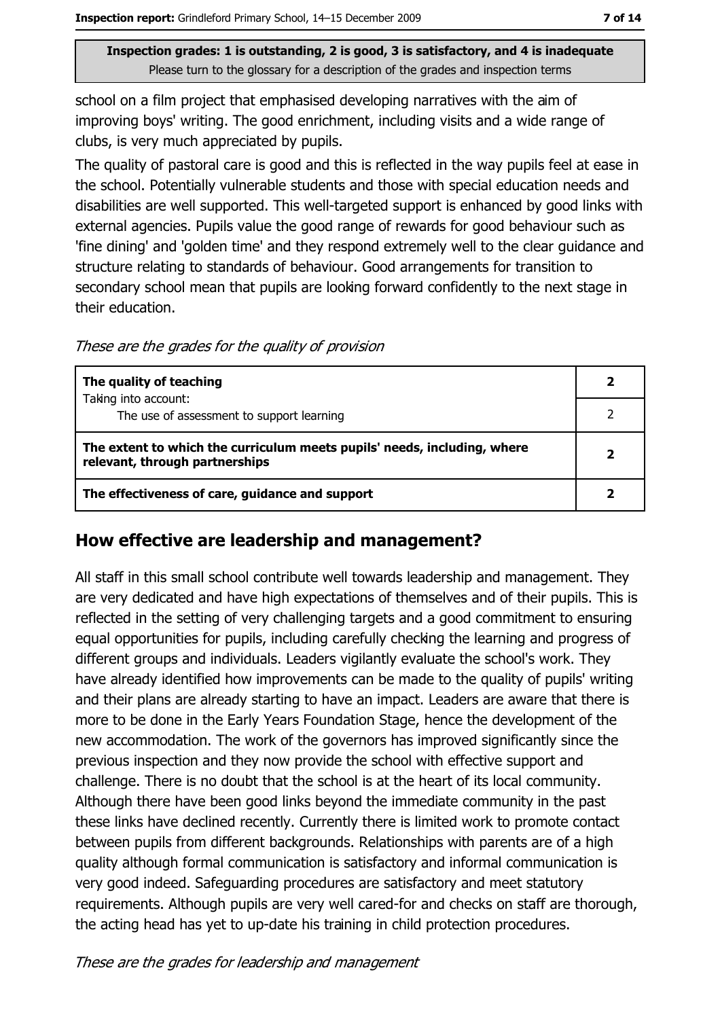school on a film project that emphasised developing narratives with the aim of improving boys' writing. The good enrichment, including visits and a wide range of clubs, is very much appreciated by pupils.

The quality of pastoral care is good and this is reflected in the way pupils feel at ease in the school. Potentially vulnerable students and those with special education needs and disabilities are well supported. This well-targeted support is enhanced by good links with external agencies. Pupils value the good range of rewards for good behaviour such as 'fine dining' and 'golden time' and they respond extremely well to the clear guidance and structure relating to standards of behaviour. Good arrangements for transition to secondary school mean that pupils are looking forward confidently to the next stage in their education.

These are the grades for the quality of provision

| The quality of teaching                                                                                    |  |
|------------------------------------------------------------------------------------------------------------|--|
| Taking into account:<br>The use of assessment to support learning                                          |  |
| The extent to which the curriculum meets pupils' needs, including, where<br>relevant, through partnerships |  |
| The effectiveness of care, guidance and support                                                            |  |

#### How effective are leadership and management?

All staff in this small school contribute well towards leadership and management. They are very dedicated and have high expectations of themselves and of their pupils. This is reflected in the setting of very challenging targets and a good commitment to ensuring equal opportunities for pupils, including carefully checking the learning and progress of different groups and individuals. Leaders vigilantly evaluate the school's work. They have already identified how improvements can be made to the quality of pupils' writing and their plans are already starting to have an impact. Leaders are aware that there is more to be done in the Early Years Foundation Stage, hence the development of the new accommodation. The work of the governors has improved significantly since the previous inspection and they now provide the school with effective support and challenge. There is no doubt that the school is at the heart of its local community. Although there have been good links beyond the immediate community in the past these links have declined recently. Currently there is limited work to promote contact between pupils from different backgrounds. Relationships with parents are of a high quality although formal communication is satisfactory and informal communication is very good indeed. Safeguarding procedures are satisfactory and meet statutory requirements. Although pupils are very well cared-for and checks on staff are thorough, the acting head has yet to up-date his training in child protection procedures.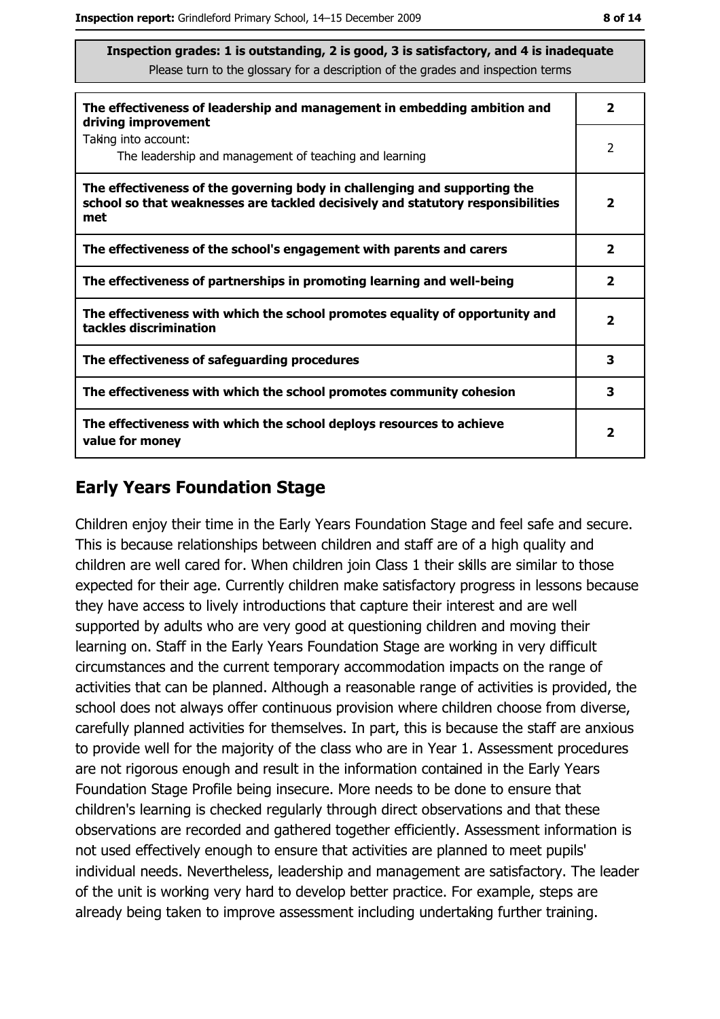| The effectiveness of leadership and management in embedding ambition and<br>driving improvement                                                                     | $\overline{\mathbf{2}}$ |
|---------------------------------------------------------------------------------------------------------------------------------------------------------------------|-------------------------|
| Taking into account:<br>The leadership and management of teaching and learning                                                                                      | 2                       |
| The effectiveness of the governing body in challenging and supporting the<br>school so that weaknesses are tackled decisively and statutory responsibilities<br>met | $\overline{\mathbf{2}}$ |
| The effectiveness of the school's engagement with parents and carers                                                                                                | $\overline{\mathbf{2}}$ |
| The effectiveness of partnerships in promoting learning and well-being                                                                                              | $\mathbf{2}$            |
| The effectiveness with which the school promotes equality of opportunity and<br>tackles discrimination                                                              | $\overline{\mathbf{2}}$ |
| The effectiveness of safeguarding procedures                                                                                                                        | 3                       |
| The effectiveness with which the school promotes community cohesion                                                                                                 | 3                       |
| The effectiveness with which the school deploys resources to achieve<br>value for money                                                                             |                         |

## **Early Years Foundation Stage**

Children enjoy their time in the Early Years Foundation Stage and feel safe and secure. This is because relationships between children and staff are of a high quality and children are well cared for. When children join Class 1 their skills are similar to those expected for their age. Currently children make satisfactory progress in lessons because they have access to lively introductions that capture their interest and are well supported by adults who are very good at questioning children and moving their learning on. Staff in the Early Years Foundation Stage are working in very difficult circumstances and the current temporary accommodation impacts on the range of activities that can be planned. Although a reasonable range of activities is provided, the school does not always offer continuous provision where children choose from diverse, carefully planned activities for themselves. In part, this is because the staff are anxious to provide well for the majority of the class who are in Year 1. Assessment procedures are not rigorous enough and result in the information contained in the Early Years Foundation Stage Profile being insecure. More needs to be done to ensure that children's learning is checked regularly through direct observations and that these observations are recorded and gathered together efficiently. Assessment information is not used effectively enough to ensure that activities are planned to meet pupils' individual needs. Nevertheless, leadership and management are satisfactory. The leader of the unit is working very hard to develop better practice. For example, steps are already being taken to improve assessment including undertaking further training.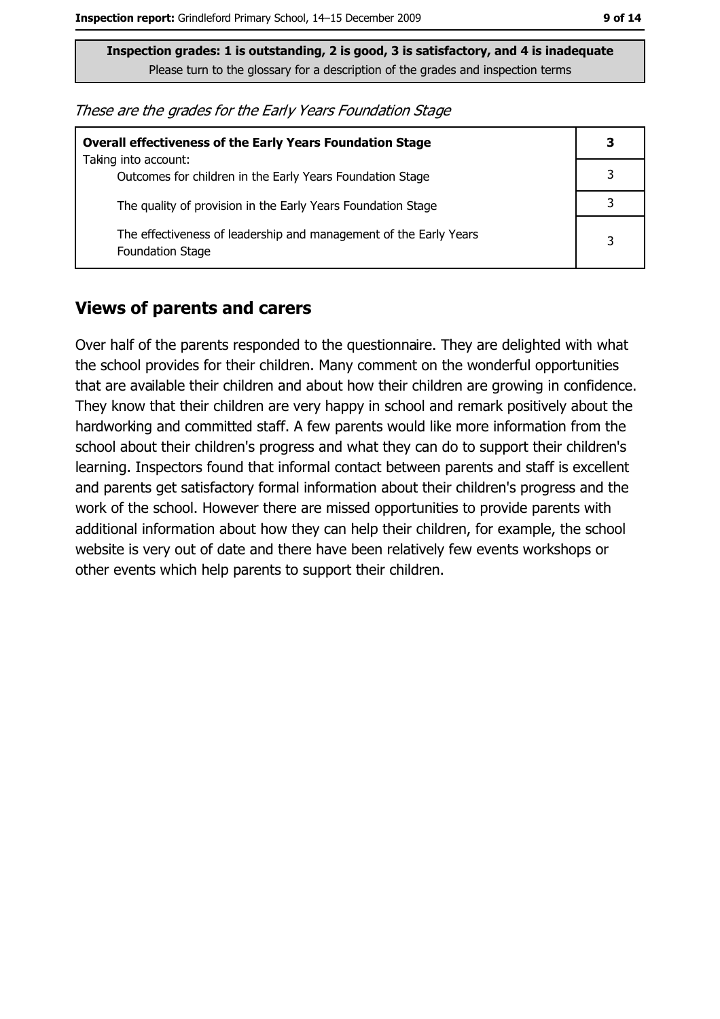These are the grades for the Early Years Foundation Stage

| <b>Overall effectiveness of the Early Years Foundation Stage</b>                             |   |  |
|----------------------------------------------------------------------------------------------|---|--|
| Taking into account:<br>Outcomes for children in the Early Years Foundation Stage            |   |  |
| The quality of provision in the Early Years Foundation Stage                                 |   |  |
| The effectiveness of leadership and management of the Early Years<br><b>Foundation Stage</b> | 3 |  |

#### **Views of parents and carers**

Over half of the parents responded to the questionnaire. They are delighted with what the school provides for their children. Many comment on the wonderful opportunities that are available their children and about how their children are growing in confidence. They know that their children are very happy in school and remark positively about the hardworking and committed staff. A few parents would like more information from the school about their children's progress and what they can do to support their children's learning. Inspectors found that informal contact between parents and staff is excellent and parents get satisfactory formal information about their children's progress and the work of the school. However there are missed opportunities to provide parents with additional information about how they can help their children, for example, the school website is very out of date and there have been relatively few events workshops or other events which help parents to support their children.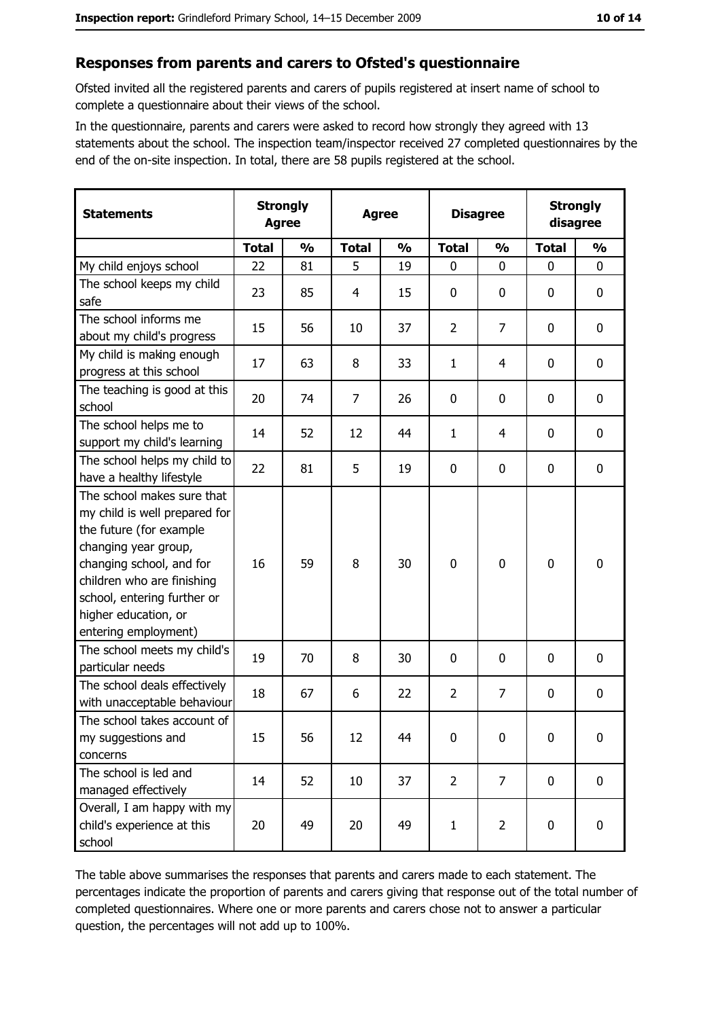#### Responses from parents and carers to Ofsted's questionnaire

Ofsted invited all the registered parents and carers of pupils registered at insert name of school to complete a questionnaire about their views of the school.

In the questionnaire, parents and carers were asked to record how strongly they agreed with 13 statements about the school. The inspection team/inspector received 27 completed questionnaires by the end of the on-site inspection. In total, there are 58 pupils registered at the school.

| <b>Statements</b>                                                                                                                                                                                                                                       | <b>Strongly</b><br><b>Agree</b> |               | <b>Agree</b> |               |                | <b>Disagree</b> |              | <b>Strongly</b><br>disagree |  |
|---------------------------------------------------------------------------------------------------------------------------------------------------------------------------------------------------------------------------------------------------------|---------------------------------|---------------|--------------|---------------|----------------|-----------------|--------------|-----------------------------|--|
|                                                                                                                                                                                                                                                         | <b>Total</b>                    | $\frac{0}{0}$ | <b>Total</b> | $\frac{0}{0}$ | <b>Total</b>   | $\frac{0}{0}$   | <b>Total</b> | $\frac{0}{0}$               |  |
| My child enjoys school                                                                                                                                                                                                                                  | 22                              | 81            | 5            | 19            | $\mathbf 0$    | 0               | 0            | 0                           |  |
| The school keeps my child<br>safe                                                                                                                                                                                                                       | 23                              | 85            | 4            | 15            | $\bf{0}$       | 0               | 0            | 0                           |  |
| The school informs me<br>about my child's progress                                                                                                                                                                                                      | 15                              | 56            | 10           | 37            | $\overline{2}$ | $\overline{7}$  | 0            | $\mathbf 0$                 |  |
| My child is making enough<br>progress at this school                                                                                                                                                                                                    | 17                              | 63            | 8            | 33            | $\mathbf{1}$   | 4               | 0            | $\mathbf 0$                 |  |
| The teaching is good at this<br>school                                                                                                                                                                                                                  | 20                              | 74            | 7            | 26            | $\mathbf 0$    | 0               | 0            | $\mathbf 0$                 |  |
| The school helps me to<br>support my child's learning                                                                                                                                                                                                   | 14                              | 52            | 12           | 44            | $\mathbf{1}$   | 4               | 0            | $\mathbf 0$                 |  |
| The school helps my child to<br>have a healthy lifestyle                                                                                                                                                                                                | 22                              | 81            | 5            | 19            | $\bf{0}$       | 0               | 0            | 0                           |  |
| The school makes sure that<br>my child is well prepared for<br>the future (for example<br>changing year group,<br>changing school, and for<br>children who are finishing<br>school, entering further or<br>higher education, or<br>entering employment) | 16                              | 59            | 8            | 30            | $\mathbf 0$    | 0               | 0            | $\mathbf 0$                 |  |
| The school meets my child's<br>particular needs                                                                                                                                                                                                         | 19                              | 70            | 8            | 30            | 0              | 0               | 0            | 0                           |  |
| The school deals effectively<br>with unacceptable behaviour                                                                                                                                                                                             | 18                              | 67            | 6            | 22            | $\overline{2}$ | $\overline{7}$  | 0            | 0                           |  |
| The school takes account of<br>my suggestions and<br>concerns                                                                                                                                                                                           | 15                              | 56            | 12           | 44            | $\mathbf 0$    | $\mathbf 0$     | 0            | 0                           |  |
| The school is led and<br>managed effectively                                                                                                                                                                                                            | 14                              | 52            | 10           | 37            | $\overline{2}$ | $\overline{7}$  | $\mathbf 0$  | $\mathbf 0$                 |  |
| Overall, I am happy with my<br>child's experience at this<br>school                                                                                                                                                                                     | 20                              | 49            | 20           | 49            | $\mathbf{1}$   | $\overline{2}$  | 0            | $\pmb{0}$                   |  |

The table above summarises the responses that parents and carers made to each statement. The percentages indicate the proportion of parents and carers giving that response out of the total number of completed questionnaires. Where one or more parents and carers chose not to answer a particular question, the percentages will not add up to 100%.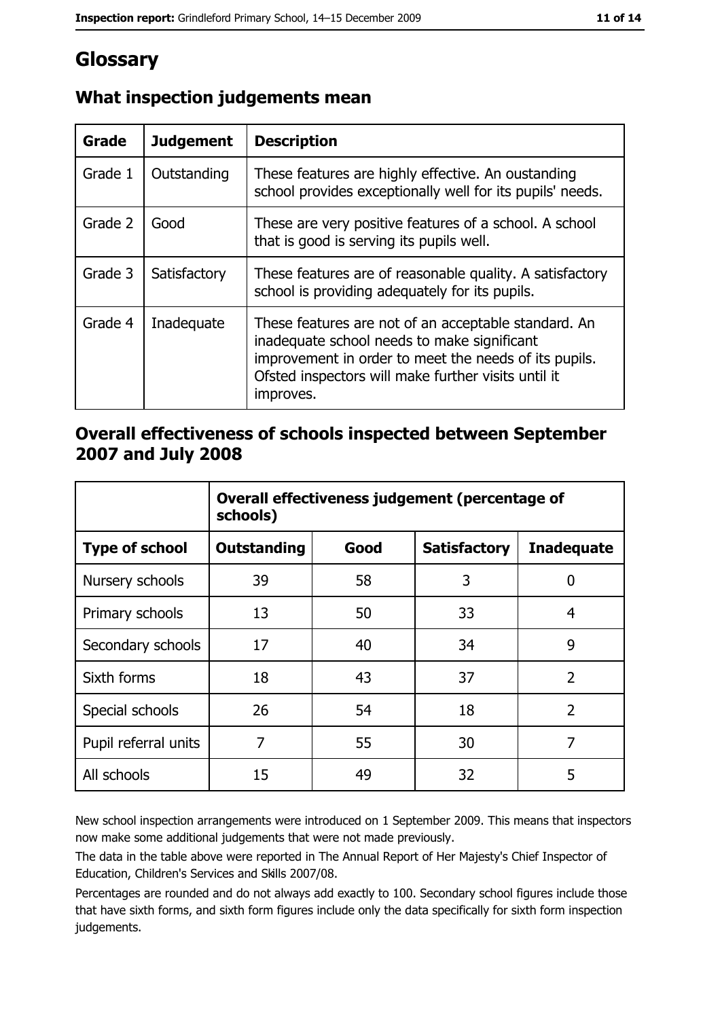# Glossary

| Grade   | <b>Judgement</b> | <b>Description</b>                                                                                                                                                                                                               |  |
|---------|------------------|----------------------------------------------------------------------------------------------------------------------------------------------------------------------------------------------------------------------------------|--|
| Grade 1 | Outstanding      | These features are highly effective. An oustanding<br>school provides exceptionally well for its pupils' needs.                                                                                                                  |  |
| Grade 2 | Good             | These are very positive features of a school. A school<br>that is good is serving its pupils well.                                                                                                                               |  |
| Grade 3 | Satisfactory     | These features are of reasonable quality. A satisfactory<br>school is providing adequately for its pupils.                                                                                                                       |  |
| Grade 4 | Inadequate       | These features are not of an acceptable standard. An<br>inadequate school needs to make significant<br>improvement in order to meet the needs of its pupils.<br>Ofsted inspectors will make further visits until it<br>improves. |  |

# What inspection judgements mean

## Overall effectiveness of schools inspected between September 2007 and July 2008

|                       | Overall effectiveness judgement (percentage of<br>schools) |      |                     |                   |
|-----------------------|------------------------------------------------------------|------|---------------------|-------------------|
| <b>Type of school</b> | <b>Outstanding</b>                                         | Good | <b>Satisfactory</b> | <b>Inadequate</b> |
| Nursery schools       | 39                                                         | 58   | 3                   | 0                 |
| Primary schools       | 13                                                         | 50   | 33                  | 4                 |
| Secondary schools     | 17                                                         | 40   | 34                  | 9                 |
| Sixth forms           | 18                                                         | 43   | 37                  | $\overline{2}$    |
| Special schools       | 26                                                         | 54   | 18                  | $\overline{2}$    |
| Pupil referral units  | 7                                                          | 55   | 30                  | 7                 |
| All schools           | 15                                                         | 49   | 32                  | 5                 |

New school inspection arrangements were introduced on 1 September 2009. This means that inspectors now make some additional judgements that were not made previously.

The data in the table above were reported in The Annual Report of Her Majesty's Chief Inspector of Education, Children's Services and Skills 2007/08.

Percentages are rounded and do not always add exactly to 100. Secondary school figures include those that have sixth forms, and sixth form figures include only the data specifically for sixth form inspection judgements.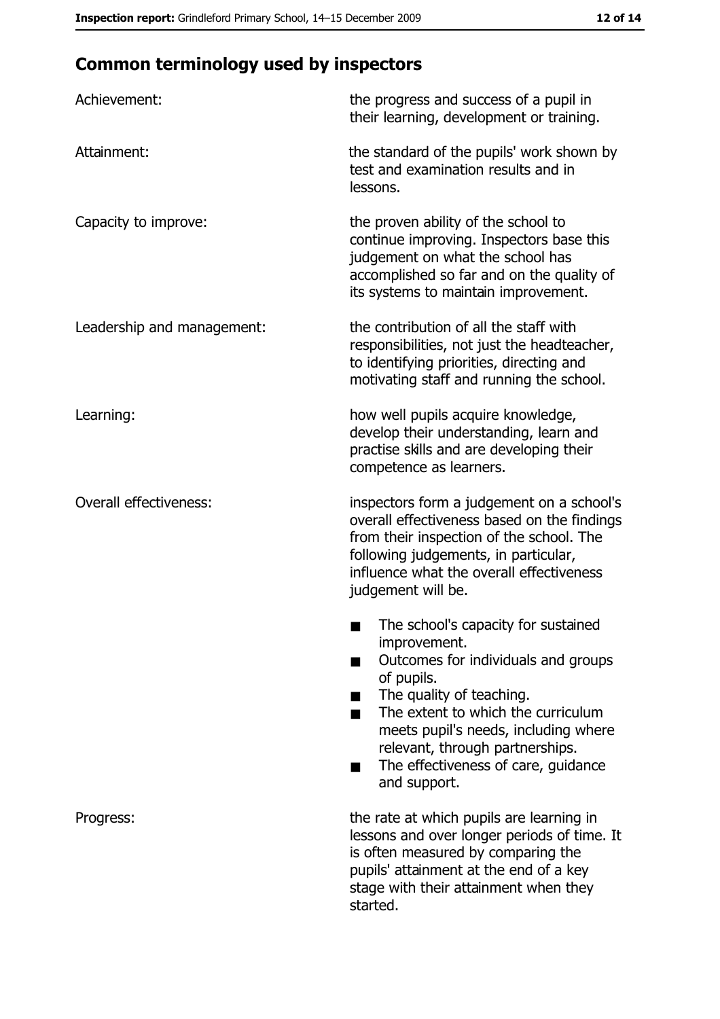# **Common terminology used by inspectors**

| Achievement:                  | the progress and success of a pupil in<br>their learning, development or training.                                                                                                                                                                                                                           |
|-------------------------------|--------------------------------------------------------------------------------------------------------------------------------------------------------------------------------------------------------------------------------------------------------------------------------------------------------------|
| Attainment:                   | the standard of the pupils' work shown by<br>test and examination results and in<br>lessons.                                                                                                                                                                                                                 |
| Capacity to improve:          | the proven ability of the school to<br>continue improving. Inspectors base this<br>judgement on what the school has<br>accomplished so far and on the quality of<br>its systems to maintain improvement.                                                                                                     |
| Leadership and management:    | the contribution of all the staff with<br>responsibilities, not just the headteacher,<br>to identifying priorities, directing and<br>motivating staff and running the school.                                                                                                                                |
| Learning:                     | how well pupils acquire knowledge,<br>develop their understanding, learn and<br>practise skills and are developing their<br>competence as learners.                                                                                                                                                          |
| <b>Overall effectiveness:</b> | inspectors form a judgement on a school's<br>overall effectiveness based on the findings<br>from their inspection of the school. The<br>following judgements, in particular,<br>influence what the overall effectiveness<br>judgement will be.                                                               |
|                               | The school's capacity for sustained<br>improvement.<br>Outcomes for individuals and groups<br>of pupils.<br>The quality of teaching.<br>The extent to which the curriculum<br>meets pupil's needs, including where<br>relevant, through partnerships.<br>The effectiveness of care, guidance<br>and support. |
| Progress:                     | the rate at which pupils are learning in<br>lessons and over longer periods of time. It<br>is often measured by comparing the<br>pupils' attainment at the end of a key<br>stage with their attainment when they<br>started.                                                                                 |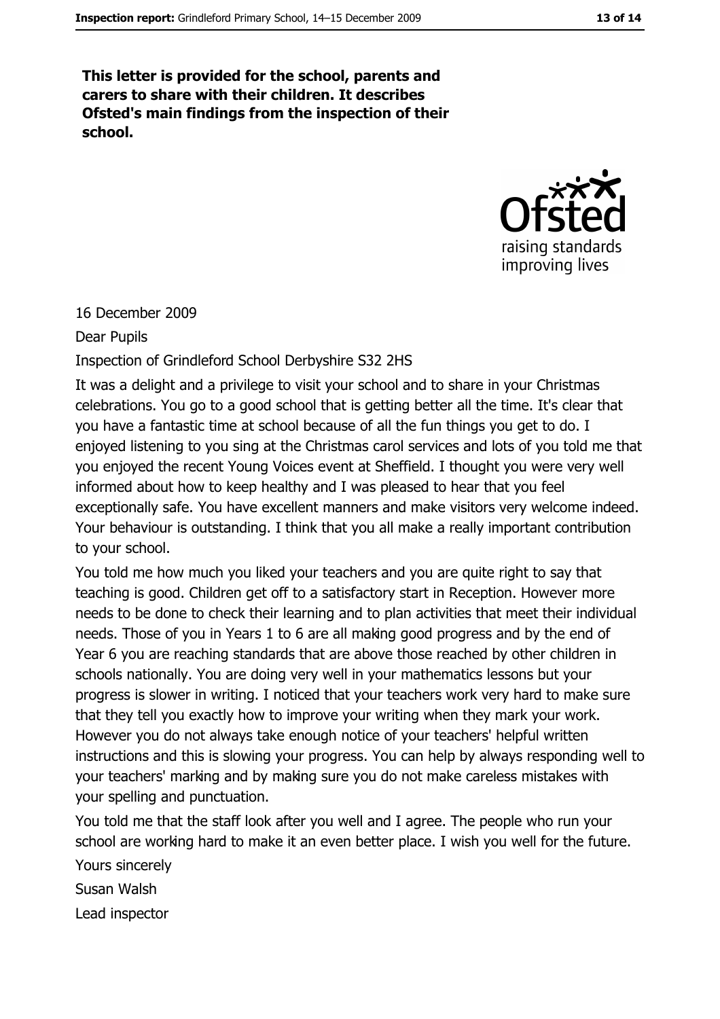This letter is provided for the school, parents and carers to share with their children. It describes Ofsted's main findings from the inspection of their school.



#### 16 December 2009

**Dear Pupils** 

#### Inspection of Grindleford School Derbyshire S32 2HS

It was a delight and a privilege to visit your school and to share in your Christmas celebrations. You go to a good school that is getting better all the time. It's clear that you have a fantastic time at school because of all the fun things you get to do. I enjoyed listening to you sing at the Christmas carol services and lots of you told me that you enjoyed the recent Young Voices event at Sheffield. I thought you were very well informed about how to keep healthy and I was pleased to hear that you feel exceptionally safe. You have excellent manners and make visitors very welcome indeed. Your behaviour is outstanding. I think that you all make a really important contribution to your school.

You told me how much you liked your teachers and you are quite right to say that teaching is good. Children get off to a satisfactory start in Reception. However more needs to be done to check their learning and to plan activities that meet their individual needs. Those of you in Years 1 to 6 are all making good progress and by the end of Year 6 you are reaching standards that are above those reached by other children in schools nationally. You are doing very well in your mathematics lessons but your progress is slower in writing. I noticed that your teachers work very hard to make sure that they tell you exactly how to improve your writing when they mark your work. However you do not always take enough notice of your teachers' helpful written instructions and this is slowing your progress. You can help by always responding well to your teachers' marking and by making sure you do not make careless mistakes with your spelling and punctuation.

You told me that the staff look after you well and I agree. The people who run your school are working hard to make it an even better place. I wish you well for the future.

Yours sincerely

Susan Walsh

Lead inspector